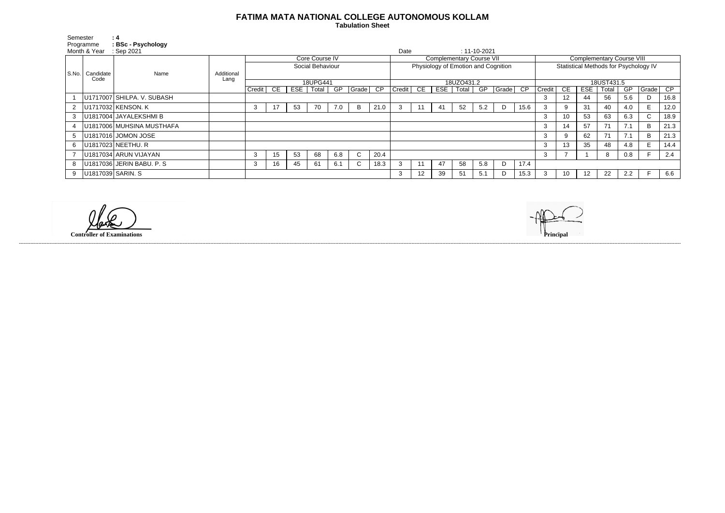## **FATIMA MATA NATIONAL COLLEGE AUTONOMOUS KOLLAM**

 **Tabulation Sheet** 

| Semester     |                   | $\therefore$ 4             |                    |                  |    |     |       |     |                                     |      |        |                   |     |       |                                       |          |      |        |     |     |       |                 |              |      |
|--------------|-------------------|----------------------------|--------------------|------------------|----|-----|-------|-----|-------------------------------------|------|--------|-------------------|-----|-------|---------------------------------------|----------|------|--------|-----|-----|-------|-----------------|--------------|------|
| Programme    |                   | : BSc - Psychology         |                    |                  |    |     |       |     |                                     |      |        |                   |     |       |                                       |          |      |        |     |     |       |                 |              |      |
| Month & Year |                   | Sep 2021                   |                    |                  |    |     |       |     |                                     |      | Date   |                   |     |       | $: 11 - 10 - 2021$                    |          |      |        |     |     |       |                 |              |      |
| S.No.        | Candidate<br>Code | Name                       | Additional<br>Lang | Core Course IV   |    |     |       |     | <b>Complementary Course VII</b>     |      |        |                   |     |       | <b>Complementary Course VIII</b>      |          |      |        |     |     |       |                 |              |      |
|              |                   |                            |                    | Social Behaviour |    |     |       |     | Physiology of Emotion and Cognition |      |        |                   |     |       | Statistical Methods for Psychology IV |          |      |        |     |     |       |                 |              |      |
|              |                   |                            |                    |                  |    |     |       |     |                                     |      |        |                   |     |       |                                       |          |      |        |     |     |       |                 |              |      |
|              |                   |                            |                    | 18UPG441         |    |     |       |     | 18UZO431.2                          |      |        |                   |     |       | 18UST431.5                            |          |      |        |     |     |       |                 |              |      |
|              |                   |                            |                    | Credit           | CE | ESE | Total | GP  | Grade                               | CP.  | Credit | CE                | ESE | Total | GP                                    | Grade CP |      | Credit | CE. | ESE | Total | $\overline{GP}$ | Grade        | CP   |
|              |                   | U1717007 SHILPA. V. SUBASH |                    |                  |    |     |       |     |                                     |      |        |                   |     |       |                                       |          |      | 3      | 12  | 44  | 56    | 5.6             |              | 16.8 |
|              |                   | U1717032 KENSON. K         |                    | 3                | 17 | 53  | 70    | 7.0 | <b>B</b>                            | 21.0 | 3      | 11                | -41 | 52    | 5.2                                   | D        | 15.6 | 3      |     | 31  | 40    | 4.0             | E.           | 12.0 |
| 3            |                   | U1817004 JAYALEKSHMI B     |                    |                  |    |     |       |     |                                     |      |        |                   |     |       |                                       |          |      | 3      | 10  | 53  | 63    | 6.3             | $\mathsf{C}$ | 18.9 |
|              |                   | U1817006 MUHSINA MUSTHAFA  |                    |                  |    |     |       |     |                                     |      |        |                   |     |       |                                       |          |      | 3      | 14  | 57  |       | 7.1             | в            | 21.3 |
| 5            |                   | U1817016 JOMON JOSE        |                    |                  |    |     |       |     |                                     |      |        |                   |     |       |                                       |          |      | 3      |     | 62  | 71    | 7.1             | B            | 21.3 |
| 6            |                   | U1817023 NEETHU. R         |                    |                  |    |     |       |     |                                     |      |        |                   |     |       |                                       |          |      | 3      | 13  | 35  | 48    | 4.8             | E.           | 14.4 |
|              |                   | U1817034 ARUN VIJAYAN      |                    | 3                | 15 | 53  | 68    | 6.8 | C                                   | 20.4 |        |                   |     |       |                                       |          |      | 3      |     |     | 8     | 0.8             |              | 2.4  |
|              |                   | U1817036 JERIN BABU. P. S  |                    | - 5              | 16 | 45  | 61    | 6.1 | $\sim$<br>◡                         | 18.3 | 3      | 11                | 47  | 58    | 5.8                                   | D        | 17.4 |        |     |     |       |                 |              |      |
| 9            | U1817039 SARIN. S |                            |                    |                  |    |     |       |     |                                     |      | 3      | $12 \overline{ }$ | 39  | 51    | 5.1                                   | D        | 15.3 |        | 10  | 12  | 22    | 2.2             |              | 6.6  |

------------------------------------------------------------------------------------------------------------------------------------------------------------------------------------------------------------------------------------------------------------------------------------------------------------------------------------------------------------------------------------------------------------------------

**Controller of Examinations**